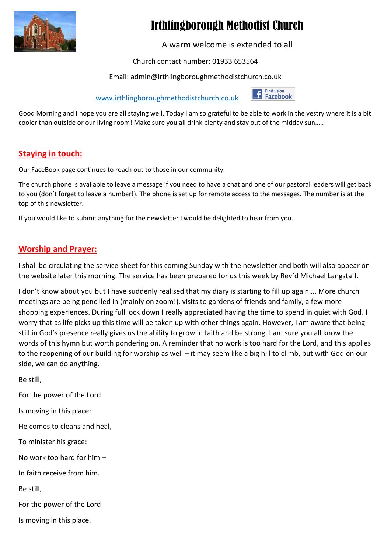

# Irthlingborough Methodist Church

A warm welcome is extended to all

Find us on **Facebook** 

Church contact number: 01933 653564

#### Email: admin@irthlingboroughmethodistchurch.co.uk

[www.irthlingboroughmethodistchurch.co.uk](http://www.irthlingboroughmethodistchurch.co.uk/)

Good Morning and I hope you are all staying well. Today I am so grateful to be able to work in the vestry where it is a bit cooler than outside or our living room! Make sure you all drink plenty and stay out of the midday sun…..

### **Staying in touch:**

Our FaceBook page continues to reach out to those in our community.

The church phone is available to leave a message if you need to have a chat and one of our pastoral leaders will get back to you (don't forget to leave a number!). The phone is set up for remote access to the messages. The number is at the top of this newsletter.

If you would like to submit anything for the newsletter I would be delighted to hear from you.

### **Worship and Prayer:**

I shall be circulating the service sheet for this coming Sunday with the newsletter and both will also appear on the website later this morning. The service has been prepared for us this week by Rev'd Michael Langstaff.

I don't know about you but I have suddenly realised that my diary is starting to fill up again…. More church meetings are being pencilled in (mainly on zoom!), visits to gardens of friends and family, a few more shopping experiences. During full lock down I really appreciated having the time to spend in quiet with God. I worry that as life picks up this time will be taken up with other things again. However, I am aware that being still in God's presence really gives us the ability to grow in faith and be strong. I am sure you all know the words of this hymn but worth pondering on. A reminder that no work is too hard for the Lord, and this applies to the reopening of our building for worship as well – it may seem like a big hill to climb, but with God on our side, we can do anything.

Be still, For the power of the Lord Is moving in this place: He comes to cleans and heal, To minister his grace: No work too hard for him – In faith receive from him. Be still, For the power of the Lord Is moving in this place.